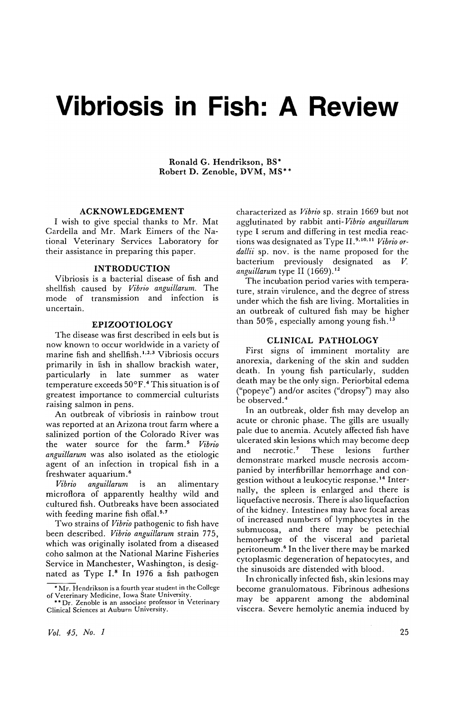# **Vibriosis in Fish: A Review**

Ronald G. Hendrikson, BS\* Robert D. Zenoble, DVM, MS\* \*

# ACKNOWLEDGEMENT

I wish to give special thanks to Mr. Mat Cardella and Mr. Mark Eimers of the National Veterinary Services Laboratory for their assistance in preparing this paper.

#### INTRODUCTION

Vibriosis is a bacterial disease of fish and shellfish caused by *Vibrio anguillarum.* The mode of transmission and infection is uncertain.

# EPIZOOTIOLOGY

The disease was first described in eels but is now known to occur worldwide in a variety of marine fish and shellfish. 1.2.3 Vibriosis occurs primarily in fish in shallow brackish water particularly in late summer as water temperature exceeds 50°F. 4 This situation is of greatest importance to commercial culturists raising salmon in pens.

An outbreak of vibriosis in rainbow trout was reported at an Arizona trout farm where a salinized portion of the Colorado River was the water source for the farm.5 *Vibrio anguillarum* was also isolated as the etiologic agent of an infection in tropical fish in a freshwater aquarium. <sup>6</sup>

*Vibrio anguillarum* is an alimentary microflora of apparently healthy wild and cultured fish. Outbreaks have been associated with feeding marine fish offal.<sup>5.7</sup>

Two strains of *Vibrio* pathogenic to fish have been described. *Vibrio anguillarum* strain 775, which was originally isolated from a diseased coho salmon at the National Marine Fisheries Service in Manchester, Washington, is designated as Type  $I.^8$  In 1976 a fish pathogen characterized as *Vibrio* sp. strain 1669 but not agglutinated by rabbit anti- *Vibrio anguillarum*  type I serum and differing in test media reactions was designated as Type 11.9.10.11 *Vibrio 07 dallii* sp. nov. is the name proposed for the bacterium previously designated as *V.*  anguillarum type II (1669).<sup>12</sup>

The incubation period varies with temperature, strain virulence, and the degree of stress under which the fish are living. Mortalities in an outbreak of cultured fish may be higher than  $50\%$ , especially among young fish.<sup>13</sup>

# CLINICAL PATHOLOGY

First signs of imminent mortality are anorexia, darkening of the skin and sudden death. In young fish particularly, sudden death may be the only sign. Periorbital edema ("popeye") and/or ascites ("dropsy") may also be observed. <sup>4</sup>

In an outbreak, older fish may develop an acute or chronic phase. The gills are usually pale due to anemia. Acutely affected fish have ulcerated skin lesions which may become deep and necrotic.<sup>7</sup> These lesions further demonstrate marked muscle necrosis accompanied by interfibrillar hemorrhage and congestion without a leukocytic response. 14 Internally, the spleen is enlarged and there is liquefactive necrosis. There is also liquefaction of the kidney. Intestines may have focal areas of increased numbers of lymphocytes in the submucosa, and there may be petechial hemorrhage of the visceral and parietal peritoneum. 6 In the liver there may be marked cytoplasmic degeneration of hepatocytes, and the sinusoids are distended with blood.

In chronically infected fish, skin lesions may become granulomatous. Fibrinous adhesions may be apparent among the abdominal viscera. Severe hemolytic anemia induced by

<sup>•</sup> Mr. Hendrikson is a fourth year student in thc College of Veterinary Medicine, Iowa State University.<br>\*\* Dr. Zenoble is an associate professor in Veterinary

Clinical Sciences at Auburn University.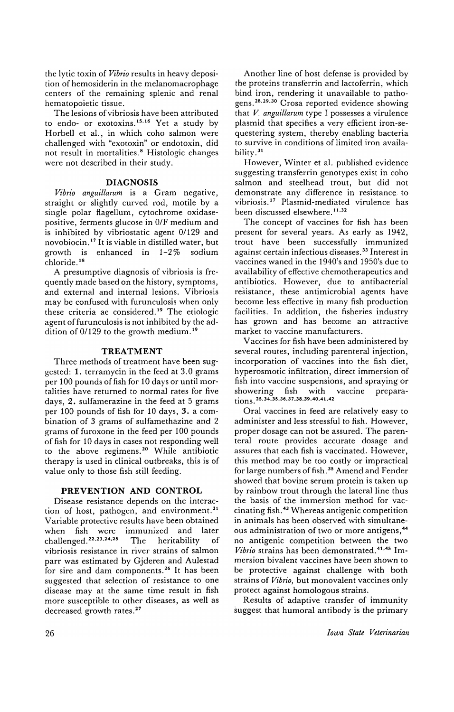the lytic toxin of *Vibrio* results in heavy deposition of hemosiderin in the melanomacrophage centers of the remaining splenic and renal hematopoietic tissue.

The lesions of vibriosis have been attributed to endo- or exotoxins.<sup>15,16</sup> Yet a study by Horbell et al., in which coho salmon were challenged with "exotoxin" or endotoxin, did not result in mortalities.8 Histologic changes were not described in their study.

# **DIAGNOSIS**

*Vibrio anguillarum* is a Gram negative, straight or slightly curved rod, motile by a single polar flagellum, cytochrome oxidasepositive, ferments glucose in 0/F medium and is inhibited by vibriostatic agent 0/129 and novobiocin. I? It is viable in distilled water, but growth is enhanced in  $1-2\%$  sodium chloride. 18

A presumptive diagnosis of vibriosis is frequently made based on the history, symptoms, and external and internal lesions. Vibriosis may be confused with furunculosis when only these criteria ae considered. 19 The etiologic agent of furunculosis is not inhibited by the addition of 0/129 to the growth medium.<sup>19</sup>

# **TREATMENT**

Three methods of treatment have been suggested: 1. terramycin in the feed at 3.0 grams per 100 pounds of fish for 10 days or until mortalities have returned to normal rates for five days, 2. sulfamerazine in the feed at 5 grams per 100 pounds of fish for 10 days, 3. a combination of 3 grams of sulfamethazine and 2 grams of furoxone in the feed per 100 pounds of fish for 10 days in cases not responding well to the above regimens. 2o While antibiotic therapy is used in clinical outbreaks, this is of value only to those fish still feeding.

# **PREVENTION AND CONTROL**

Disease resistance depends on the interaction of host, pathogen, and environment.<sup>21</sup> Variable protective results have been obtained when fish were immunized and later challenged.22.23.24.2s The heritability of vibriosis resistance in river strains of salmon parr was estimated by Gjderen and Aulestad for sire and dam components.<sup>26</sup> It has been suggested that selection of resistance to one disease may at the same time result in fish more susceptible to other diseases, as well as decreased growth rates. 2?

Another line of host defense is provided by the proteins transferrin and lactoferrin, which bind iron, rendering it unavailable to pathogens.28.29.30 Crosa reported evidence showing that *V. anguillarum* type I possesses a virulence plasmid that specifies a very efficient iron-sequestering system, thereby enabling bacteria to survive in conditions of limited iron availability.<sup>31</sup>

However, Winter et al. published evidence suggesting transferrin genotypes exist in coho salmon and steelhead trout, but did not demonstrate any difference in resistance. to vibriosis.!7 Plasmid-mediated virulence has been discussed elsewhere.<sup>11,32</sup>

The concept of vaccines for fish has been present for several years. As early as 1942, trout have been successfully immunized against certain infectious diseases. 33 Interest in vaccines waned in the 1940's and 1950's due to availability of effective chemotherapeutics and antibiotics. However, due to antibacterial resistance, these antimicrobial agents have become less effective in many fish production facilities. In addition, the fisheries industry has grown and has become an attractive market to vaccine manufacturers.

Vaccines for fish have been administered by several routes, including parenteral injection, incorporation of vaccines into the fish diet, hyperosmotic infiltration, direct immersion of fish into vaccine suspensions, and spraying or showering fish with vaccine prepara-<br>tions.<sup>25,34,35,36,37,38,39,40,41,42</sup>

Oral vaccines in feed are relatively easy to administer and less stressful to fish. However, proper dosage can not be assured. The parenteral route provides accurate dosage and assures that each fish is vaccinated. However, this method may be too costly or impractical for large numbers of fish.<sup>35</sup> Amend and Fender showed that bovine serum protein is taken up by rainbow trout through the lateral line thus the basis of the immersion method for vaccinating fish. 43 Whereas antigenic competition in animals has been observed with simultaneous administration of two or more antigens,<sup>44</sup> no antigenic competition between the two *Vibrio* strains has been demonstrated. <sup>41</sup> .45 Immersion bivalent vaccines have been shown to be protective against challenge with both strains of *Vibrio,* but monovalent vaccines only protect against homologous strains.

Results of adaptive transfer of immunity suggest that humoral antibody is the primary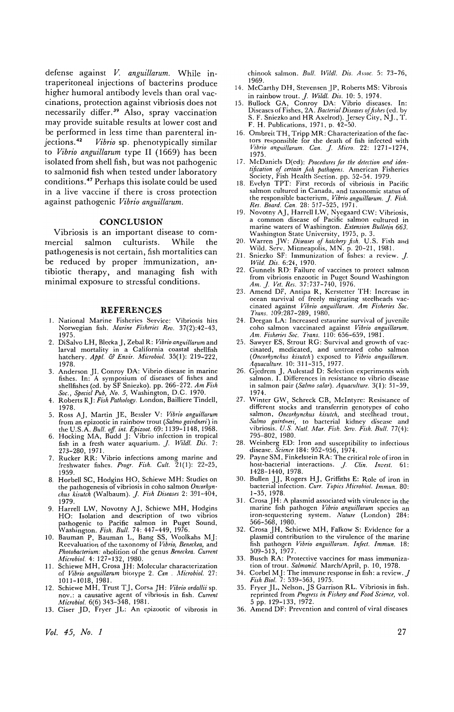defense against *V. anguillarum.* While intraperitoneal injections of bacterins produce higher humoral antibody levels than oral vaccinations, protection against vibriosis does not necessarily differ. 39 Also, spray vaccination may provide suitable results at lower cost and be performed in less time than parenteral in-<br>jections.<sup>42</sup> Vibrio sp. phenotypically similar Vibrio sp. phenotypically similar to *Vibrio anguillarum* type II (1669) has been isolated from shell fish, but was not pathogenic to salmonid fish when tested under laboratory conditions. 47 Perhaps this isolate could be used in a live vaccine if there is cross protection against pathogenic *Vibrio anguillarum.* 

### **CONCLUSION**

Vibriosis is an important disease to commercial salmon culturists. While the pathogenesis is not certain, fish mortalities can be reduced by proper immunization, antibiotic therapy, and managing fish with minimal exposure to stressful conditions.

#### **REFERENCES**

- 1. National Marine Fisheries Service: Vibriosis hits Norwegian fish. *Marine Fisheries Rev. 37(2):42-43,*  1975.
- 2. DiSalvo LH, BleckaJ, Zebal R: *Vibrio anguillarum* and larval mortality in a California coastal shellfish hatchery. *Appl.* & *Envir. Microbial.* 35(1): 219-222, 1978.
- 3. Anderson JI, Conroy DA: Vibrio disease in marine fishes. In: A symposium of diseases of fishes and shellfishes (cd. by SF Sniezko). pp. 266-272. *Am Fish Soc., Special Pub, No.5,* Washington, D.C. 1970. 4. Roberts RJ: *Fish Pathology.* London, Bailliere Tindell,
- 1978.
- 5. Ross AJ, Martin JE, Bessler V: *Vibrio anguillarum*  from an epizootic in rainbow trout (Salmo gairdneri) in the U.S.A. *Bull. off. int. Epizoot.* 69: 1139-1148, 1968.<br>6. Hocking MA, Budd J: Vibrio infection in tropical
- fish in a fresh water aquarium. J. *Wildl. Dis. 7:*  273-280, 1971.
- 7. Rucker RR: Vibrio infections among marine and freshwater fishes. *Progr. Fish. Cult.* 21(1): 22-25, 1959.
- 8. Horbell SC, Hodgins HO, Schiewe MH: Studies on the pathogenesis of vibriosis in coho salmon *Oncorhyn· chus kisutch* (Walbaum). J. *Fish Diseases* 2: 391-404, 1979.
- 9. Harrell LW, Novotny AJ, Schiewe MH, Hodgins HO: Isolation and description of two vibrios pathogenic to Pacific salmon in Puget Sound, Washington. *Fish. Bull.* 74: 447-449, 1976. 10. Bauman P, Bauman L, Bang SS, Woolkahs MJ:
- Reevaluation of the taxonomy of *Vibrio, Beneckea,* and *Photobacterium:* abolition of the genus *Beneckea. Current Microbial.* 4: 127-132, 1980.
- 11. Schiewe MH, Crosa JH: Molecular characterization of *Vibrio anguillarum* biotype 2. *Can. Microbial. 27:*  1011-1018, 1981.
- 12. Schiewe MH, Trust T J, Corsa JH: *Vibrio ordallii* sp. nov.: a causative agent of vibriosis in fish. *Current Microbial.* 6(6) 343-348, 1981.
- 13. Ciser JD, Fryer JL: An epizootic of vibrosis in

*Vol.* 45, *No. 1* 

chinook salmon. *Bull. Wildl. Dis. Assoc.* 5: 73-76, 1969.

- 14. McCarthy DH, Stevensen JP, Roberts MS: Vibrosis
- in rainbow trout. *J. Wildl. Dis.* 10: 5, 1974.<br>15. Bullock GA, Conroy DA: Vibrio diseases. In:<br>Discases of Fishes, 2A. *Bacteral Diseases of fishes* (ed. by<br>S. F. Sniezko and HR Axelrod). Jersey City, NJ., T.<br>F. H. Public
- 16. Ombreit TH, Tripp MR: Characterization of the factors responsible for the death of fish infected with *Vibrio anguillarum. Can.* J. *Micro.* 22: 1271-1274, 1975.
- 17. McDaniels D(ed): *Procedures for the deleclion and identification of certain fish pathogens.* American Fisheries<br>
Society, Fish Health Section. pp. 52-54. 1979.<br>
18. Evelyn TPT: First records of vibriosis in Pacific
- salmon cultured in Canada, and taxonomic status of the responsible bacterium, *Vibrio anguillarum.* J. *Fish.*
- *Res. Board. Can.* 28: 517-525,1971. 19. Novotny AJ, Harrell LW, Nyegaard CW: Vibriosis, a common disease of Pacific salmon cultured in marine waters of Washington. *Extension Bulletin 663.*
- Washington State University, 1975, p. 3.<br>20. Warren JW: *Diseases of hatchery fish*. U.S. Fish and<br>Wild. Serv. Minneapolis, MN. p. 20-21, 1981.<br>21. Sniezko SF: Immunization of fishes: a review. *J*.
- 
- *Wild. Dis.* 6:24, 1970. 22. Gunnels RD: Failure of vaccines to protect salmon from vibriosis enzootic in Puget Sound Washington *Am.* j. *Vet. Res.* 37:737-740, 1976,
- 23. Amend DF, Antipa R, Kerstetter TH: Increase in ocean survival of freely migrating steclhcads vaccinated against *Vibrio anguillarum. Am Fisheries Soc. Trans.* 109:287-289, 1980.
- 24. Deegan LA: Increased estaurine survival of juvenile coho salmon vaccinated against *Vibrio anguillarum. Am. Fisherifs Soc. Trans.* 110: 656-659, 1981.
- 25. Sawyer ES, Strout RG: Survival and growth of vaccinated, medicated, and untreated coho salmon *(Oncorhynchus kisutch)* exposed to *Vibrio anguillarum. Aquaculture.* 10: 311-315, 1977.
- 26. Gjedrem J. Aulestad D: Selection experiments with salmon. I. Differences in resistance to vibrio discase in salmon pair *(Salmo salar). Aquawllure.* 3(1): 51-59, 1974.
- 27. Winter GW, Schreck CB, Mcintyre: Resistance of different stocks and transferrin genotypes of coho salmon, *Oncorhynchus kisulch*, and stechhead trout, *Salmo gairdneri*, to bacterial kidney disease and vibriosis. U.S. Natl. Mar. Fish. Serv. Fish. Bull. 77(4): 795-802,
- 28. Weinberg ED: Iron and susceptibility to infectious disease. *Science* 184: 952-956, 1974.
- 29. Payne SM, Finkelstein RA: The critical role of iron in host-bacterial interactions.  $J.$  Clin. Invest. 61: host-bacterial interactions. J. 1428-1440, 1978.
- 30. Bullen JJ, Rogers HJ, Griffiths E: Role of iron in bacterial infection. *Curr. Topics Microbiol. Immun.* 80: 1-35, 1978.
- 31. Crosa JH: A plasmid associated with virulence in the marine fish pathogen *Vibrio anguillarum* species an iron-sequestering system. *Nature* (London) 284: 566-568, 1980.
- 32. Crosa JH, Schiewe MH, Fa1kow S: Evidence for a plasmid contribution to the virulence of the marine fish pathogen Vibrio anguillarum. Infect. Immun. 18: 509-513, 1977.
- 33. Busch RA: Protective vaccines for mass immunization of trout. *Salmonid.* March/April, p. 10, 1978.
- 34. Corbel MJ: The immune response in fish: a review. J *Fish Bioi.* 7: 539-563, 1975. 35. Fryer JL. Nelson, JS Garrison RL. Vibriosis in fish.
- reprinted from *Progress* in *Fishery and Food Science,* vol. 5 pp. 129-133, 1972.
- 36. Amend DF: Prevention and control of viral diseases